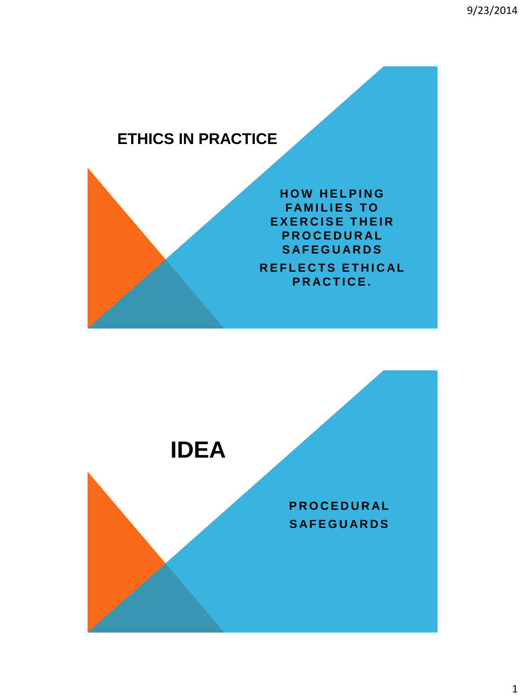## **ETHICS IN PRACTICE**



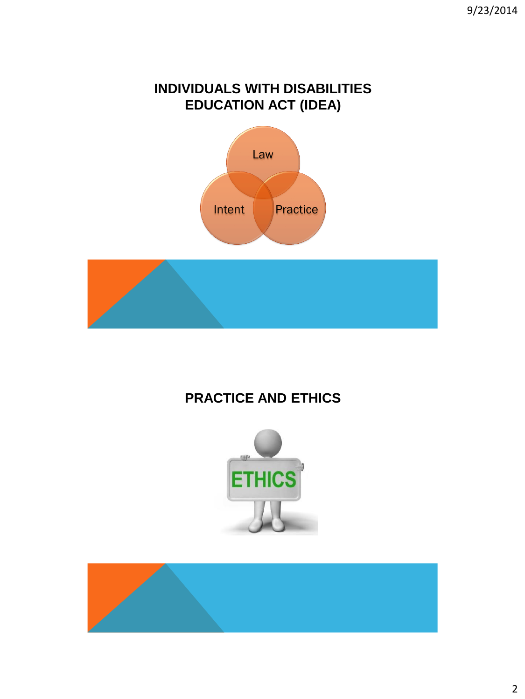### **INDIVIDUALS WITH DISABILITIES EDUCATION ACT (IDEA)**





## **PRACTICE AND ETHICS**



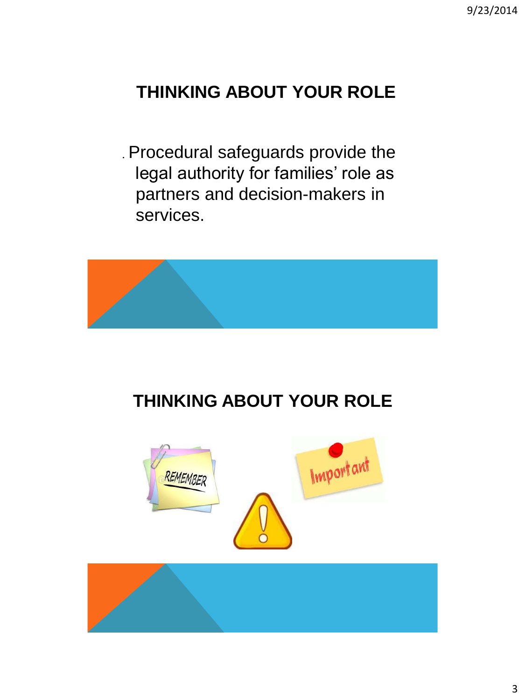# **THINKING ABOUT YOUR ROLE**

. Procedural safeguards provide the legal authority for families' role as partners and decision-makers in services.



# **THINKING ABOUT YOUR ROLE**



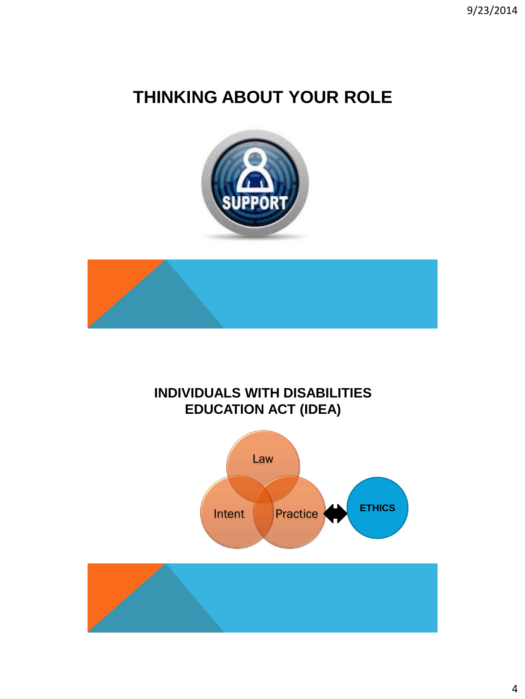# **THINKING ABOUT YOUR ROLE**





### **INDIVIDUALS WITH DISABILITIES EDUCATION ACT (IDEA)**

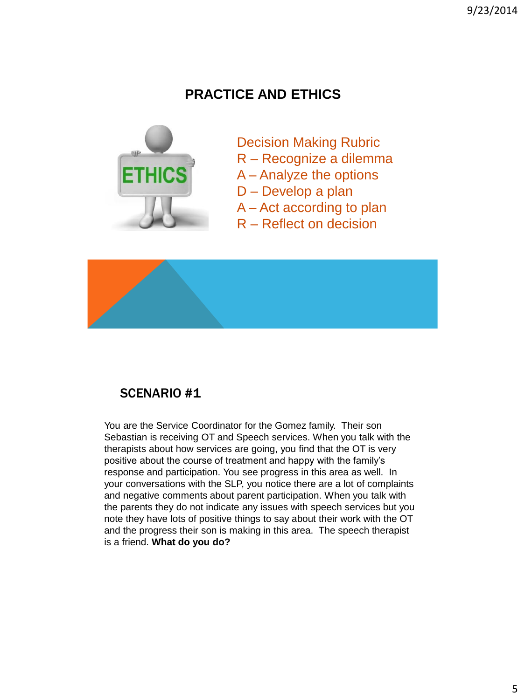### **PRACTICE AND ETHICS**



- Decision Making Rubric
- R Recognize a dilemma
- A Analyze the options
- D Develop a plan
- A Act according to plan
- R Reflect on decision



#### SCENARIO #1

You are the Service Coordinator for the Gomez family. Their son Sebastian is receiving OT and Speech services. When you talk with the therapists about how services are going, you find that the OT is very positive about the course of treatment and happy with the family's response and participation. You see progress in this area as well. In your conversations with the SLP, you notice there are a lot of complaints and negative comments about parent participation. When you talk with the parents they do not indicate any issues with speech services but you note they have lots of positive things to say about their work with the OT and the progress their son is making in this area. The speech therapist is a friend. **What do you do?**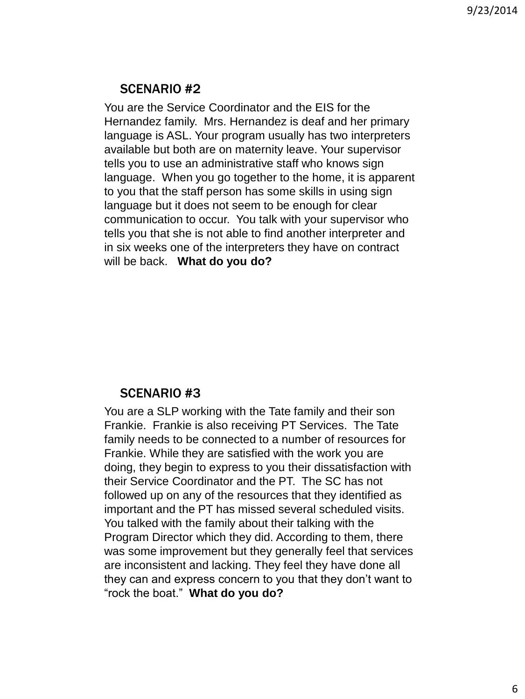#### SCENARIO #2

You are the Service Coordinator and the EIS for the Hernandez family. Mrs. Hernandez is deaf and her primary language is ASL. Your program usually has two interpreters available but both are on maternity leave. Your supervisor tells you to use an administrative staff who knows sign language. When you go together to the home, it is apparent to you that the staff person has some skills in using sign language but it does not seem to be enough for clear communication to occur. You talk with your supervisor who tells you that she is not able to find another interpreter and in six weeks one of the interpreters they have on contract will be back. **What do you do?**

#### SCENARIO #3

You are a SLP working with the Tate family and their son Frankie. Frankie is also receiving PT Services. The Tate family needs to be connected to a number of resources for Frankie. While they are satisfied with the work you are doing, they begin to express to you their dissatisfaction with their Service Coordinator and the PT. The SC has not followed up on any of the resources that they identified as important and the PT has missed several scheduled visits. You talked with the family about their talking with the Program Director which they did. According to them, there was some improvement but they generally feel that services are inconsistent and lacking. They feel they have done all they can and express concern to you that they don't want to "rock the boat." **What do you do?**